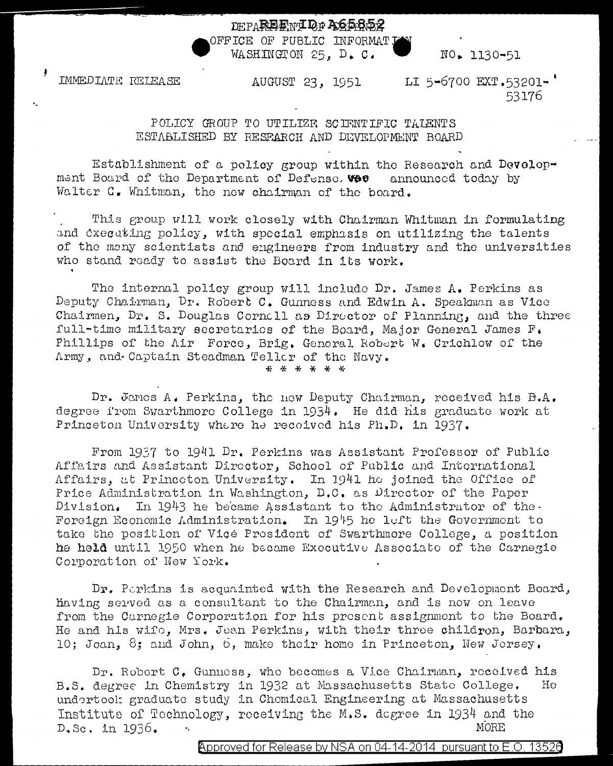## DEPAREENT OF ACERSS

OFFICE OF PUBLIC INFORMATI WASHINGTON 25. D. C.

IMMEDIATE RELEASE

AUGUST 23, 1951 LI 5-6700 EXT.53201-'

53176

NO. 1130-51

## POLICY GROUP TO UTILIZE SCIENTIFIC TALENTS ESTABLISHED BY RESPARCH AND DEVELOPMENT BOARD

Establishment of a policy group within the Research and Development Board of the Department of Defense. West announced today by Walter C. Whitman, the new chairman of the board.

This group will work closely with Chairman Whitman in formulating and cxecuting policy, with special emphasis on utilizing the talents of the many scientists and engineers from industry and the universities who stand ready to assist the Board in its work.

The internal policy group will include Dr. James A. Perkins as Deputy Chairman, Dr. Robert C. Gunness and Edwin A. Speakman as Vice Chairmen, Dr. S. Douglas Cornell as Director of Planning, and the three full-time military secretaries of the Board, Major General James F. Phillips of the Air Force, Brig, General Robert W. Crichlow of the Army, and Captain Steadman Teller of the Navy.

\* \* \* \* \* \*

Dr. James A. Perkins, the new Deputy Chairman, received his B.A. degree from Swarthmore College in 1934. He did his graduate work at Princeton University where he received his Ph.D. in 1937.

From 1937 to 1941 Dr. Perkins was Assistant Professor of Public Affairs and Assistant Director, School of Public and International Affairs, at Princeton University. In 1941 he joined the Office of Price Administration in Washington, D.C. as Director of the Paper In 1943 he became Assistant to the Administrator of the. Division. Foreign Economic Administration. In 1945 he left the Government to take the position of Vice President of Swarthmore College, a position he held until 1950 when he became Executive Associate of the Carnegie Corporation of New York.

Dr. Perkins is acquainted with the Research and Development Board, having served as a consultant to the Chairman, and is now on leave from the Carnegie Corporation for his present assignment to the Board. He and his wife, Mrs. Jean Perkins, with their three childron, Barbara, 10; Joan, 8; and John, 6, make their home in Princeton, New Jersey.

Dr. Robert C. Gunness, who becomes a Vice Chairman, received his B.S. degree in Chemistry in 1932 at Massachusetts State College.  $He$ undertook graduate study in Chemical Engineering at Massachusetts Institute of Technology, receiving the M.S. degree in 1934 and the D.Sc. in 1936. **MORE**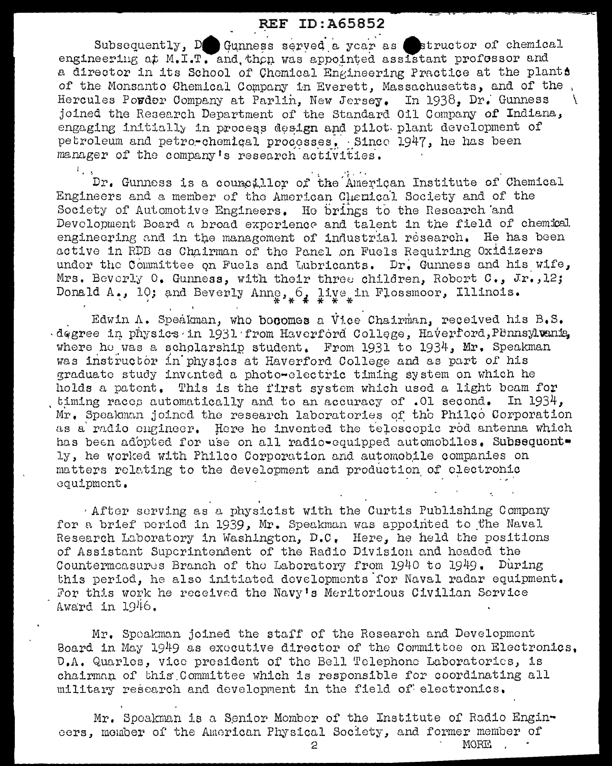## **REF ID: A65852**

Subsequently, De Gunness served a year as structor of chemical engineering at M.I.T. and then was appointed assistant professor and a director in its School of Chemical Engineering Practice at the plants of the Monsanto Chemical Company in Everett, Massachusetts, and of the Hercules Powder Company at Parlin. New Jersey. In 1938, Dr. Gunness joined the Research Department of the Standard Oil Company of Indiana, engaging initially in process design and pilot plant development of petroleum and petro-chemical processes. Since 1947, he has been manager of the company's research activities.

Dr. Gunness is a councillor of the American Institute of Chemical Engineers and a member of the American Chemical Society and of the Society of Automotive Engineers. He brings to the Research and Devolopment Board a broad exporience and talent in the field of chemical engineering and in the management of industrial research. He has been active in RDB as Chairman of the Panel on Fuels Requiring Oxidizers under the Committee on Fuels and Lubricants. Dr. Gunness and his wife, Mrs. Beverly 0. Gunness, with their three children, Robert C., Jr., 12; Donald A., 10; and Beverly Anne,  $6$ , live in Flossmoor, Illinois.

 $\mathbf{I}$ 

Edwin A. Speakman, who bocomes a Vice Chairman, received his B.S. degree in physics in 1931 from Haverford College, Haverford, Pennsylvania. where he was a scholarship student. From 1931 to 1934, Mr. Speakman was instructor in physics at Haverford College and as part of his graduate study invented a photo-electric timing system on which he holds a patent. This is the first system which used a light beam for timing races automatically and to an accuracy of .01 second. In 1934. Mr. Speakman joined the research laboratories of the Philoo Corporation as a radio cugineer. Here he invented the telescopic rod antenna which has been adopted for use on all radio-equipped automobiles. Subsequently, he worked with Philco Corporation and automobile companies on matters relating to the development and production of clectronic equipment.

After serving as a physicist with the Curtis Publishing Company for a brief period in 1939, Mr. Speakman was appointed to the Naval Research Laboratory in Washington, D.C. Here, he held the positions of Assistant Superintendent of the Radio Division and headed the Countermeasures Branch of the Laboratory from 1940 to 1949. During this period, he also initiated developments for Naval radar equipment. For this work he received the Navy's Meritorious Civilian Service Award in  $1946.$ 

Mr. Speakman joined the staff of the Research and Development Board in May 1949 as executive director of the Committee on Electronics. D.A. Quarles, vice president of the Bell Telephone Laboratories, is chairman of this Committee which is responsible for coordinating all military research and development in the field of electronics.

Mr. Speakman is a Senior Momber of the Institute of Radio Engineers, member of the American Physical Society, and former member of

 $\circ$ 

MORE